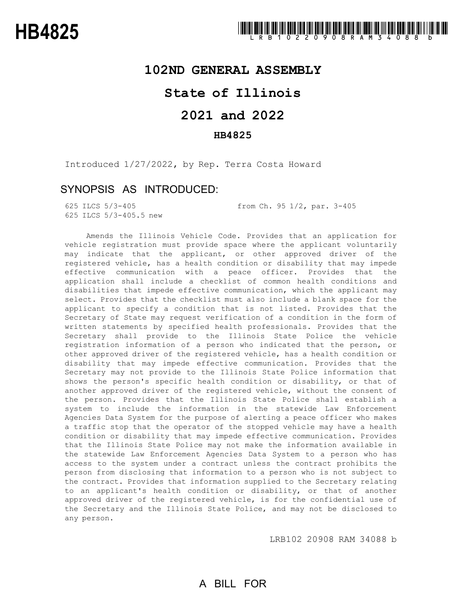### **102ND GENERAL ASSEMBLY**

# **State of Illinois**

# **2021 and 2022**

#### **HB4825**

Introduced 1/27/2022, by Rep. Terra Costa Howard

## SYNOPSIS AS INTRODUCED:

625 ILCS 5/3-405.5 new

625 ILCS 5/3-405 from Ch. 95 1/2, par. 3-405

Amends the Illinois Vehicle Code. Provides that an application for vehicle registration must provide space where the applicant voluntarily may indicate that the applicant, or other approved driver of the registered vehicle, has a health condition or disability that may impede effective communication with a peace officer. Provides that the application shall include a checklist of common health conditions and disabilities that impede effective communication, which the applicant may select. Provides that the checklist must also include a blank space for the applicant to specify a condition that is not listed. Provides that the Secretary of State may request verification of a condition in the form of written statements by specified health professionals. Provides that the Secretary shall provide to the Illinois State Police the vehicle registration information of a person who indicated that the person, or other approved driver of the registered vehicle, has a health condition or disability that may impede effective communication. Provides that the Secretary may not provide to the Illinois State Police information that shows the person's specific health condition or disability, or that of another approved driver of the registered vehicle, without the consent of the person. Provides that the Illinois State Police shall establish a system to include the information in the statewide Law Enforcement Agencies Data System for the purpose of alerting a peace officer who makes a traffic stop that the operator of the stopped vehicle may have a health condition or disability that may impede effective communication. Provides that the Illinois State Police may not make the information available in the statewide Law Enforcement Agencies Data System to a person who has access to the system under a contract unless the contract prohibits the person from disclosing that information to a person who is not subject to the contract. Provides that information supplied to the Secretary relating to an applicant's health condition or disability, or that of another approved driver of the registered vehicle, is for the confidential use of the Secretary and the Illinois State Police, and may not be disclosed to any person.

LRB102 20908 RAM 34088 b

# A BILL FOR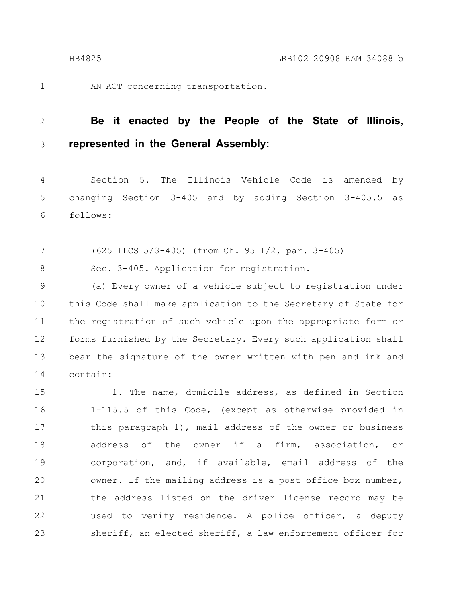1

AN ACT concerning transportation.

#### **Be it enacted by the People of the State of Illinois, represented in the General Assembly:** 2 3

Section 5. The Illinois Vehicle Code is amended by changing Section 3-405 and by adding Section 3-405.5 as follows: 4 5 6

(625 ILCS 5/3-405) (from Ch. 95 1/2, par. 3-405) 7

Sec. 3-405. Application for registration. 8

(a) Every owner of a vehicle subject to registration under this Code shall make application to the Secretary of State for the registration of such vehicle upon the appropriate form or forms furnished by the Secretary. Every such application shall bear the signature of the owner written with pen and ink and contain: 9 10 11 12 13 14

1. The name, domicile address, as defined in Section 1-115.5 of this Code, (except as otherwise provided in this paragraph 1), mail address of the owner or business address of the owner if a firm, association, or corporation, and, if available, email address of the owner. If the mailing address is a post office box number, the address listed on the driver license record may be used to verify residence. A police officer, a deputy sheriff, an elected sheriff, a law enforcement officer for 15 16 17 18 19 20 21 22 23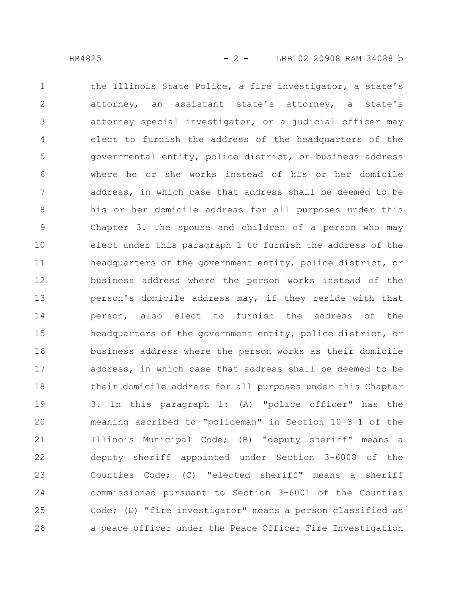the Illinois State Police, a fire investigator, a state's attorney, an assistant state's attorney, a state's attorney special investigator, or a judicial officer may elect to furnish the address of the headquarters of the governmental entity, police district, or business address where he or she works instead of his or her domicile address, in which case that address shall be deemed to be his or her domicile address for all purposes under this Chapter 3. The spouse and children of a person who may elect under this paragraph 1 to furnish the address of the headquarters of the government entity, police district, or business address where the person works instead of the person's domicile address may, if they reside with that person, also elect to furnish the address of the headquarters of the government entity, police district, or business address where the person works as their domicile address, in which case that address shall be deemed to be their domicile address for all purposes under this Chapter 3. In this paragraph 1: (A) "police officer" has the meaning ascribed to "policeman" in Section 10-3-1 of the Illinois Municipal Code; (B) "deputy sheriff" means a deputy sheriff appointed under Section 3-6008 of the Counties Code; (C) "elected sheriff" means a sheriff commissioned pursuant to Section 3-6001 of the Counties Code; (D) "fire investigator" means a person classified as a peace officer under the Peace Officer Fire Investigation 1 2 3 4 5 6 7 8 9 10 11 12 13 14 15 16 17 18 19 20 21 22 23 24 25 26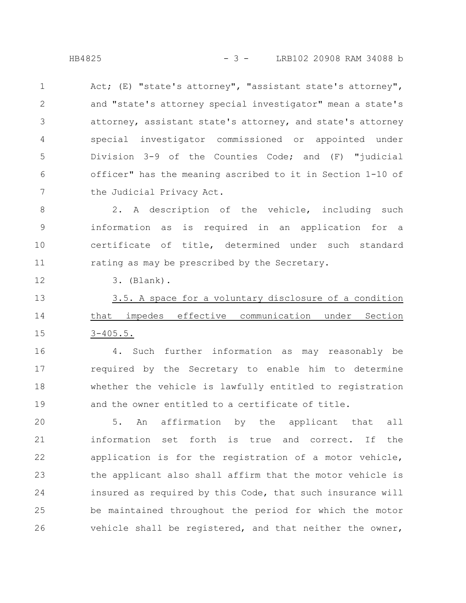Act; (E) "state's attorney", "assistant state's attorney", and "state's attorney special investigator" mean a state's attorney, assistant state's attorney, and state's attorney special investigator commissioned or appointed under Division 3-9 of the Counties Code; and (F) "judicial officer" has the meaning ascribed to it in Section 1-10 of the Judicial Privacy Act. 1 2 3 4 5 6 7

2. A description of the vehicle, including such information as is required in an application for a certificate of title, determined under such standard rating as may be prescribed by the Secretary. 8 9 10 11

3. (Blank).

12

3.5. A space for a voluntary disclosure of a condition that impedes effective communication under Section 3-405.5. 13 14 15

4. Such further information as may reasonably be required by the Secretary to enable him to determine whether the vehicle is lawfully entitled to registration and the owner entitled to a certificate of title. 16 17 18 19

5. An affirmation by the applicant that all information set forth is true and correct. If the application is for the registration of a motor vehicle, the applicant also shall affirm that the motor vehicle is insured as required by this Code, that such insurance will be maintained throughout the period for which the motor vehicle shall be registered, and that neither the owner, 20 21 22 23 24 25 26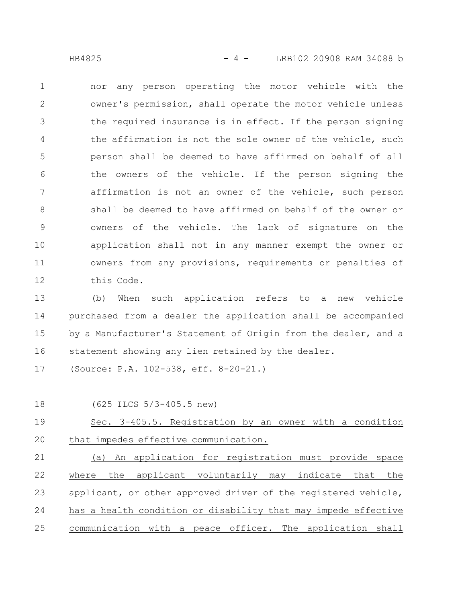HB4825 - 4 - LRB102 20908 RAM 34088 b

nor any person operating the motor vehicle with the owner's permission, shall operate the motor vehicle unless the required insurance is in effect. If the person signing the affirmation is not the sole owner of the vehicle, such person shall be deemed to have affirmed on behalf of all the owners of the vehicle. If the person signing the affirmation is not an owner of the vehicle, such person shall be deemed to have affirmed on behalf of the owner or owners of the vehicle. The lack of signature on the application shall not in any manner exempt the owner or owners from any provisions, requirements or penalties of this Code. 1 2 3 4 5 6 7 8 9 10 11 12

(b) When such application refers to a new vehicle purchased from a dealer the application shall be accompanied by a Manufacturer's Statement of Origin from the dealer, and a statement showing any lien retained by the dealer. 13 14 15 16

(Source: P.A. 102-538, eff. 8-20-21.) 17

18

(625 ILCS 5/3-405.5 new)

Sec. 3-405.5. Registration by an owner with a condition that impedes effective communication. 19 20

(a) An application for registration must provide space where the applicant voluntarily may indicate that the applicant, or other approved driver of the registered vehicle, has a health condition or disability that may impede effective communication with a peace officer. The application shall 21 22 23 24 25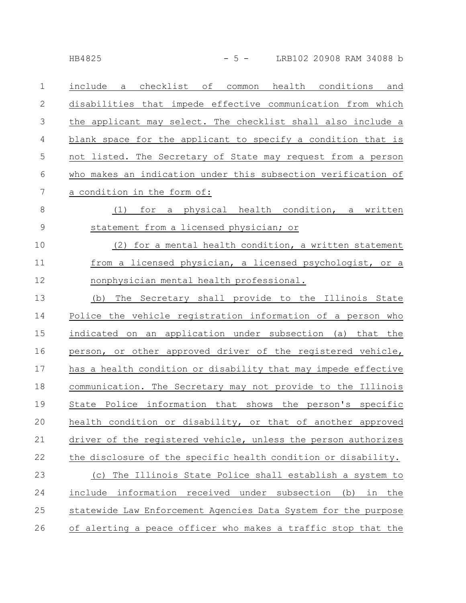HB4825 - 5 - LRB102 20908 RAM 34088 b

| $\mathbf 1$   | checklist of common health conditions<br>include<br>and<br>a   |
|---------------|----------------------------------------------------------------|
| 2             | disabilities that impede effective communication from which    |
| 3             | the applicant may select. The checklist shall also include a   |
| 4             | blank space for the applicant to specify a condition that is   |
| 5             | not listed. The Secretary of State may request from a person   |
| 6             | who makes an indication under this subsection verification of  |
| 7             | a condition in the form of:                                    |
| 8             | for a physical health condition, a written<br>(1)              |
| $\mathcal{G}$ | statement from a licensed physician; or                        |
| 10            | (2) for a mental health condition, a written statement         |
| 11            | from a licensed physician, a licensed psychologist, or a       |
| 12            | nonphysician mental health professional.                       |
| 13            | The Secretary shall provide to the Illinois State<br>(b)       |
| 14            | Police the vehicle registration information of a person who    |
| 15            | indicated on an application under subsection (a) that the      |
| 16            | person, or other approved driver of the registered vehicle,    |
| 17            | has a health condition or disability that may impede effective |
| 18            | communication. The Secretary may not provide to the Illinois   |
| 19            | State Police information that shows the person's specific      |
| 20            | health condition or disability, or that of another approved    |
| 21            | driver of the registered vehicle, unless the person authorizes |
| 22            | the disclosure of the specific health condition or disability. |
| 23            | The Illinois State Police shall establish a system to<br>(C)   |
| 24            | include information received under subsection (b) in the       |
| 25            | statewide Law Enforcement Agencies Data System for the purpose |
| 26            | of alerting a peace officer who makes a traffic stop that the  |